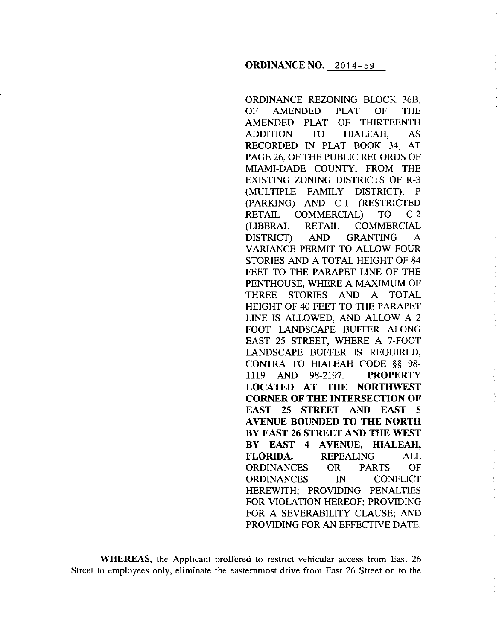### **ORDINANCE NO.** 2014-59

ORDINANCE REZONING BLOCK 36B, OF AMENDED PLAT OF THE AMENDED PLAT OF THIRTEENTH ADDITION TO HIALEAH, AS RECORDED IN PLAT BOOK 34, AT PAGE 26, OF THE PUBLIC RECORDS OF MIAMI-DADE COUNTY, FROM THE EXISTING ZONING DISTRICTS OF R-3 (MULTIPLE FAMILY DISTRICT), P (PARKING) AND C-1 (RESTRICTED RETAIL COMMERCIAL) TO C-2 (LIBERAL RETAIL COMMERCIAL DISTRICT) AND GRANTING A VARIANCE PERMIT TO ALLOW FOUR STORIES AND A TOTAL HEIGHT OF 84 FEET TO THE PARAPET LINE OF THE PENTHOUSE, WHERE A MAXIMUM OF THREE STORIES AND A TOTAL HEIGHT OF 40 FEET TO THE PARAPET LINE IS ALLOWED, AND ALLOW A 2 FOOT LANDSCAPE BUFFER ALONG EAST 25 STREET, WHERE A 7-FOOT LANDSCAPE BUFFER IS REQUIRED, CONTRA TO HIALEAH CODE §§ 98- 1119 AND 98-2197. **PROPERTY LOCATED AT THE NORTHWEST CORNER OF THE INTERSECTION OF EAST 25 STREET AND EAST 5 AVENUE BOUNDED TO THE NORTH BY EAST 26 STREET AND THE WEST BY EAST 4 AVENUE, HIALEAH, FLORIDA.** REPEALING ALL ORDINANCES OR PARTS OF ORDINANCES IN CONFLICT HEREWITH; PROVIDING PENALTIES FOR VIOLATION HEREOF; PROVIDING FOR A SEVERABILITY CLAUSE; AND PROVIDING FOR AN EFFECTIVE DATE.

**WHEREAS,** the Applicant proffered to restrict vehicular access from East 26 Street to employees only, eliminate the easternmost drive from East 26 Street on to the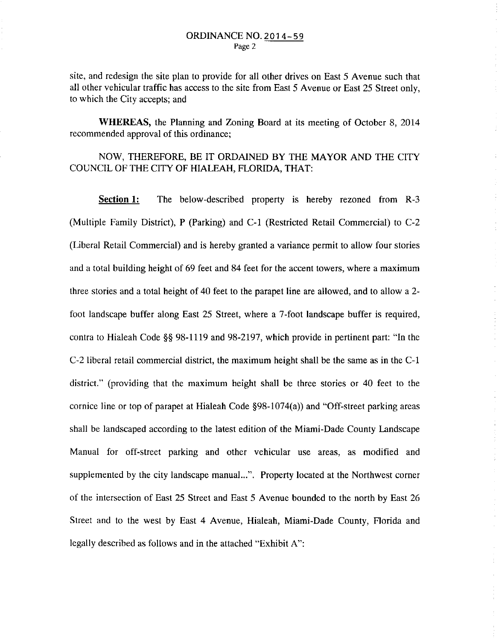site, and redesign the site plan to provide for all other drives on East 5 Avenue such that all other vehicular traffic has access to the site from East 5 Avenue or East 25 Street only, to which the City accepts; and

**WHEREAS,** the Planning and Zoning Board at its meeting of October 8, 2014 recommended approval of this ordinance;

# NOW, THEREFORE, BE IT ORDAINED BY THE MAYOR AND THE CITY COUNCIL OF THE CITY OF HIALEAH, FLORIDA, THAT:

**Section 1:** The below-described property is hereby rezoned from R-3 (Multiple Family District), P (Parking) and C-1 (Restricted Retail Commercial) to C-2 (Liberal Retail Commercial) and is hereby granted a variance permit to allow four stories and a total building height of 69 feet and 84 feet for the accent towers, where a maximum three stories and a total height of 40 feet to the parapet line are allowed, and to allow a 2 foot landscape buffer along East 25 Street, where a 7-foot landscape buffer is required, contra to Hialeah Code§§ 98-1119 and 98-2197, which provide in pertinent part: "In the C-2 liberal retail commercial district, the maximum height shall be the same as in the C-1 district." (providing that the maximum height shall be three stories or 40 feet to the cornice line or top of parapet at Hialeah Code §98-1074(a)) and "Off-street parking areas shall be landscaped according to the latest edition of the Miami-Dade County Landscape Manual for off-street parking and other vehicular use areas, as modified and supplemented by the city landscape manual...". Property located at the Northwest corner of the intersection of East 25 Street and East 5 Avenue bounded to the north by East 26 Street and to the west by East 4 Avenue, Hialeah, Miami-Dade County, Florida and legally described as follows and in the attached "Exhibit A":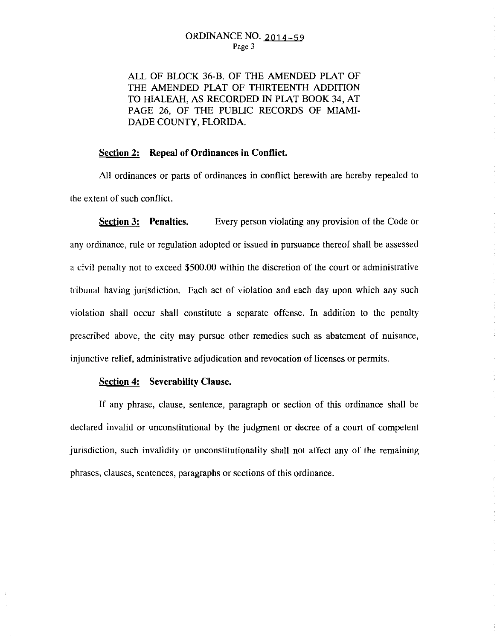ALL OF BLOCK 36-B, OF THE AMENDED PLAT OF THE AMENDED PLAT OF THIRTEENTH ADDITION TO HIALEAH, AS RECORDED IN PLAT BOOK 34, AT PAGE 26, OF THE PUBLIC RECORDS OF MIAMI-DADE COUNTY, FLORIDA.

### **Section 2: Repeal of Ordinances in Conflict.**

All ordinances or parts of ordinances in conflict herewith are hereby repealed to the extent of such conflict.

**Section 3: Penalties.** Every person violating any provision of the Code or any ordinance, rule or regulation adopted or issued in pursuance thereof shall be assessed a civil penalty not to exceed \$500.00 within the discretion of the court or administrative tribunal having jurisdiction. Each act of violation and each day upon which any such violation shall occur shall constitute a separate offense. In addition to the penalty prescribed above, the city may pursue other remedies such as abatement of nuisance, injunctive relief, administrative adjudication and revocation of licenses or permits.

÷.

 $\bar{\zeta}$ 

#### **Section 4: Severability Clause.**

If any phrase, clause, sentence, paragraph or section of this ordinance shall be declared invalid or unconstitutional by the judgment or decree of a court of competent jurisdiction, such invalidity or unconstitutionality shall not affect any of the remaining phrases, clauses, sentences, paragraphs or sections of this ordinance.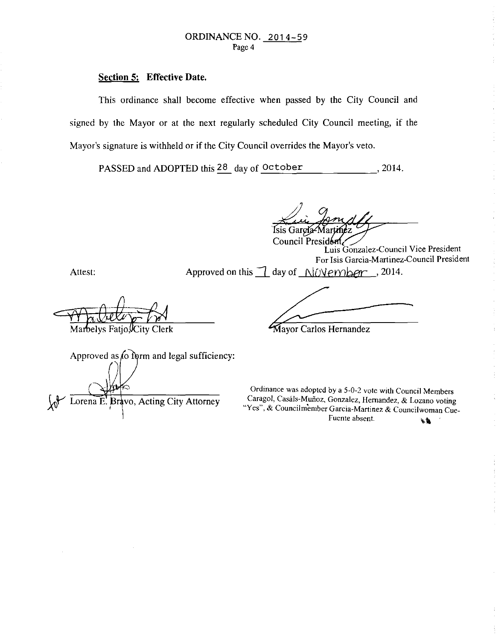## **Section 5: Effective Date.**

This ordinance shall become effective when passed by the City Council and signed by the Mayor or at the next regularly scheduled City Council meeting, if the Mayor's signature is withheld or if the City Council overrides the Mayor's veto.

PASSED and ADOPTED this 28 day of October , 2014.

Isis Gargía-Mar Council President

Luis Gonzalez-Council Vice President For Isis Garcia-Martinez-Council President

Attest: Approved on this  $\Box$  day of  $\Box$ /*Overnber* , 2014.

Marbelys

Mayor Carlos Hernandez

| Approved as to form and legal sufficiency: |
|--------------------------------------------|
|                                            |
|                                            |
|                                            |
| Lorena E. Bravo, Acting City Attorney      |
|                                            |

Ordinance was adopted by a 5-0-2 vote with Council Members Caragol, Casáls-Muñoz, Gonzalez, Hernandez, & Lozano voting *Wes", & Councilmember Garcia-Martinez & Councilwoman Cue*<br>Fuente absent.